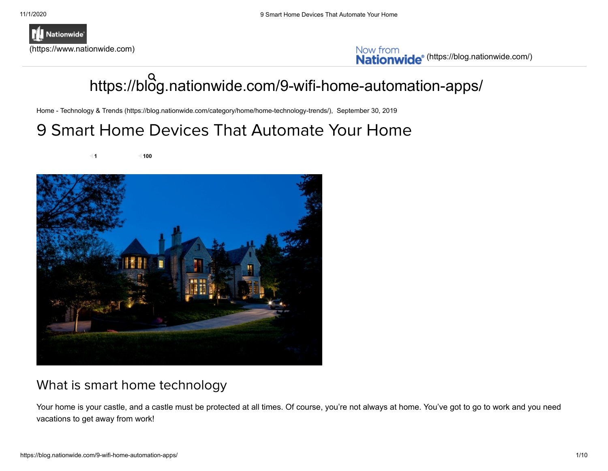

Now from<br>**Nationwide**<sup>®</sup> [\(https://blog.nationwide.com/\)](https://blog.nationwide.com/)

# https://blog.nationwide.com/9-wifi-home-automation-apps/

[Home - Technology & Trends \(https://blog.nationwide.com/category/home/home-technology-trends/\),](https://blog.nationwide.com/category/home/home-technology-trends/) September 30, 2019

## 9 Smart Home Devices That Automate Your Home

**1 100**



#### What is smart home technology

Your home is your castle, and a castle must be protected at all times. Of course, you're not always at home. You've got to go to work and you need vacations to get away from work!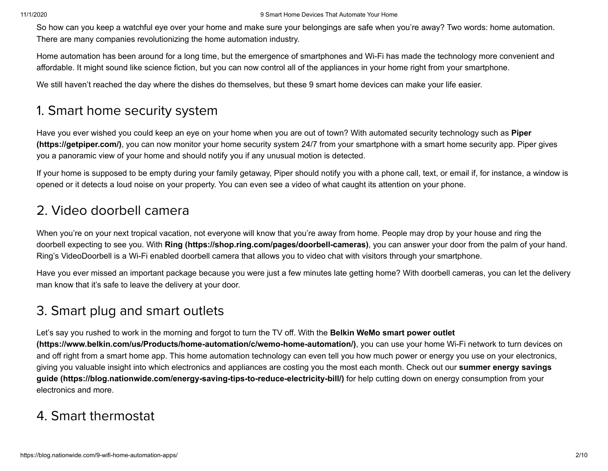So how can you keep a watchful eye over your home and make sure your belongings are safe when you're away? Two words: home automation. There are many companies revolutionizing the home automation industry.

Home automation has been around for a long time, but the emergence of smartphones and Wi-Fi has made the technology more convenient and affordable. It might sound like science fiction, but you can now control all of the appliances in your home right from your smartphone.

We still haven't reached the day where the dishes do themselves, but these 9 smart home devices can make your life easier.

#### 1. Smart home security system

[Have you ever wished you could keep an eye on your home when you are out of town? With automated security technology such as](https://getpiper.com/) **Piper** (https://getpiper.com/), you can now monitor your home security system 24/7 from your smartphone with a smart home security app. Piper gives you a panoramic view of your home and should notify you if any unusual motion is detected.

If your home is supposed to be empty during your family getaway, Piper should notify you with a phone call, text, or email if, for instance, a window is opened or it detects a loud noise on your property. You can even see a video of what caught its attention on your phone.

#### 2. Video doorbell camera

When you're on your next tropical vacation, not everyone will know that you're away from home. People may drop by your house and ring the doorbell expecting to see you. With **[Ring \(https://shop.ring.com/pages/doorbell-cameras\)](https://shop.ring.com/pages/doorbell-cameras)**, you can answer your door from the palm of your hand. Ring's VideoDoorbell is a Wi-Fi enabled doorbell camera that allows you to video chat with visitors through your smartphone.

Have you ever missed an important package because you were just a few minutes late getting home? With doorbell cameras, you can let the delivery man know that it's safe to leave the delivery at your door.

## 3. Smart plug and smart outlets

Let's say you rushed to work in the morning and forgot to turn the TV off. With the **Belkin WeMo smart power outlet**

**[\(https://www.belkin.com/us/Products/home-automation/c/wemo-home-automation/\)](https://www.belkin.com/us/Products/home-automation/c/wemo-home-automation/)**, you can use your home Wi-Fi network to turn devices on and off right from a smart home app. This home automation technology can even tell you how much power or energy you use on your electronics, [giving you valuable insight into which electronics and appliances are costing you the most each month. Check out our](https://blog.nationwide.com/energy-saving-tips-to-reduce-electricity-bill/) **summer energy savings guide (https://blog.nationwide.com/energy-saving-tips-to-reduce-electricity-bill/)** for help cutting down on energy consumption from your electronics and more.

#### 4. Smart thermostat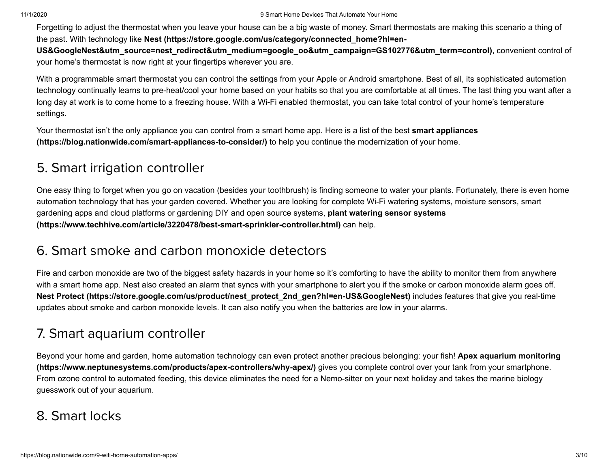Forgetting to adjust the thermostat when you leave your house can be a big waste of money. Smart thermostats are making this scenario a thing of the past. With technology like **Nest (https://store.google.com/us/category/connected\_home?hl=en-**

**[US&GoogleNest&utm\\_source=nest\\_redirect&utm\\_medium=google\\_oo&utm\\_campaign=GS102776&utm\\_term=control\)](https://store.google.com/us/category/connected_home?hl=en-US&GoogleNest&utm_source=nest_redirect&utm_medium=google_oo&utm_campaign=GS102776&utm_term=control)**, convenient control of your home's thermostat is now right at your fingertips wherever you are.

With a programmable smart thermostat you can control the settings from your Apple or Android smartphone. Best of all, its sophisticated automation technology continually learns to pre-heat/cool your home based on your habits so that you are comfortable at all times. The last thing you want after a long day at work is to come home to a freezing house. With a Wi-Fi enabled thermostat, you can take total control of your home's temperature settings.

[Your thermostat isn't the only appliance you can control from a smart home app. Here is a list of the best](https://blog.nationwide.com/smart-appliances-to-consider/) **smart appliances (https://blog.nationwide.com/smart-appliances-to-consider/)** to help you continue the modernization of your home.

#### 5. Smart irrigation controller

One easy thing to forget when you go on vacation (besides your toothbrush) is finding someone to water your plants. Fortunately, there is even home automation technology that has your garden covered. Whether you are looking for complete Wi-Fi watering systems, moisture sensors, smart gardening apps and cloud platforms or gardening DIY and open source systems, **plant watering sensor systems [\(https://www.techhive.com/article/3220478/best-smart-sprinkler-controller.html\)](https://www.techhive.com/article/3220478/best-smart-sprinkler-controller.html)** can help.

#### 6. Smart smoke and carbon monoxide detectors

Fire and carbon monoxide are two of the biggest safety hazards in your home so it's comforting to have the ability to monitor them from anywhere with a smart home app. Nest also created an alarm that syncs with your smartphone to alert you if the smoke or carbon monoxide alarm goes off. **[Nest Protect \(https://store.google.com/us/product/nest\\_protect\\_2nd\\_gen?hl=en-US&GoogleNest\)](https://store.google.com/us/product/nest_protect_2nd_gen?hl=en-US&GoogleNest)** includes features that give you real-time updates about smoke and carbon monoxide levels. It can also notify you when the batteries are low in your alarms.

## 7. Smart aquarium controller

[Beyond your home and garden, home automation technology can even protect another precious belonging: your fish!](https://www.neptunesystems.com/products/apex-controllers/why-apex/) **Apex aquarium monitoring (https://www.neptunesystems.com/products/apex-controllers/why-apex/)** gives you complete control over your tank from your smartphone. From ozone control to automated feeding, this device eliminates the need for a Nemo-sitter on your next holiday and takes the marine biology guesswork out of your aquarium.

#### 8. Smart locks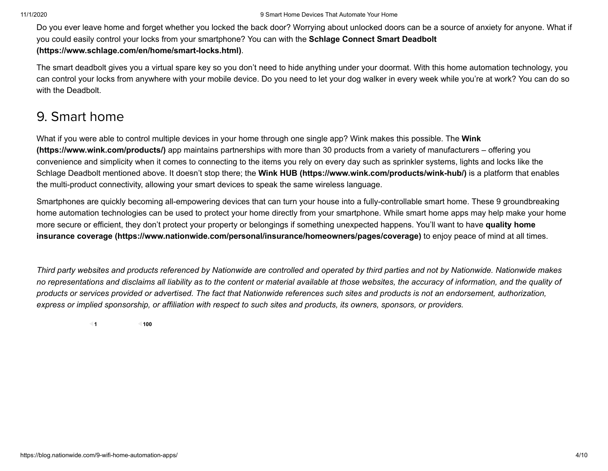Do you ever leave home and forget whether you locked the back door? Worrying about unlocked doors can be a source of anxiety for anyone. What if [you could easily control your locks from your smartphone? You can with the](https://www.schlage.com/en/home/smart-locks.html) **Schlage Connect Smart Deadbolt (https://www.schlage.com/en/home/smart-locks.html)**.

The smart deadbolt gives you a virtual spare key so you don't need to hide anything under your doormat. With this home automation technology, you can control your locks from anywhere with your mobile device. Do you need to let your dog walker in every week while you're at work? You can do so with the Deadbolt.

## 9. Smart home

[What if you were able to control multiple devices in your home through one single app? Wink makes this possible. The](https://www.wink.com/products/) **Wink (https://www.wink.com/products/)** app maintains partnerships with more than 30 products from a variety of manufacturers – offering you convenience and simplicity when it comes to connecting to the items you rely on every day such as sprinkler systems, lights and locks like the Schlage Deadbolt mentioned above. It doesn't stop there; the **[Wink HUB \(https://www.wink.com/products/wink-hub/\)](https://www.wink.com/products/wink-hub/)** is a platform that enables the multi-product connectivity, allowing your smart devices to speak the same wireless language.

Smartphones are quickly becoming all-empowering devices that can turn your house into a fully-controllable smart home. These 9 groundbreaking home automation technologies can be used to protect your home directly from your smartphone. While smart home apps may help make your home [more secure or efficient, they don't protect your property or belongings if something unexpected happens. You'll want to have](https://www.nationwide.com/personal/insurance/homeowners/pages/coverage) **quality home insurance coverage (https://www.nationwide.com/personal/insurance/homeowners/pages/coverage)** to enjoy peace of mind at all times.

*Third party websites and products referenced by Nationwide are controlled and operated by third parties and not by Nationwide. Nationwide makes no representations and disclaims all liability as to the content or material available at those websites, the accuracy of information, and the quality of products or services provided or advertised. The fact that Nationwide references such sites and products is not an endorsement, authorization, express or implied sponsorship, or affiliation with respect to such sites and products, its owners, sponsors, or providers.*

**1 100**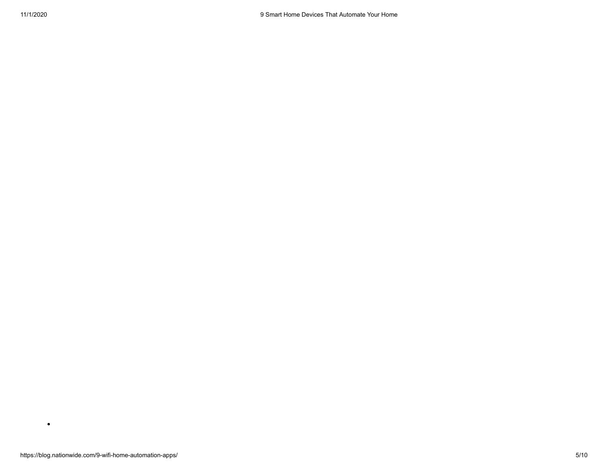$\bullet$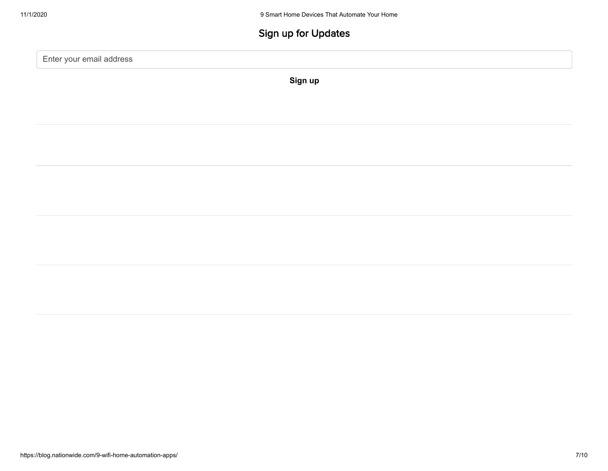#### Sign up for Updates

Enter your email address

**Sign up**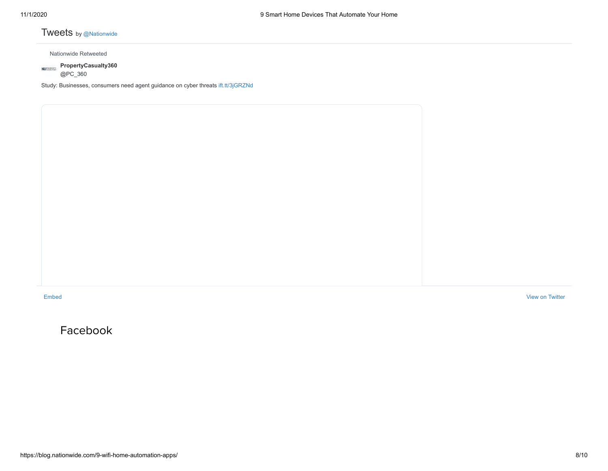#### Tweets by [@Nationwide](https://twitter.com/Nationwide)

Nationwide Retweeted

**[PropertyCasualty360](https://twitter.com/PC_360) NUPROPERTY** @PC\_360

Study: Businesses, consumers need agent guidance on cyber threats [ift.tt/3jGRZNd](https://t.co/NSzfNa7qwv)

[Embed](https://publish.twitter.com/?url=https%3A%2F%2Ftwitter.com%2FNationwide) [View on Twitter](https://twitter.com/Nationwide)

#### Facebook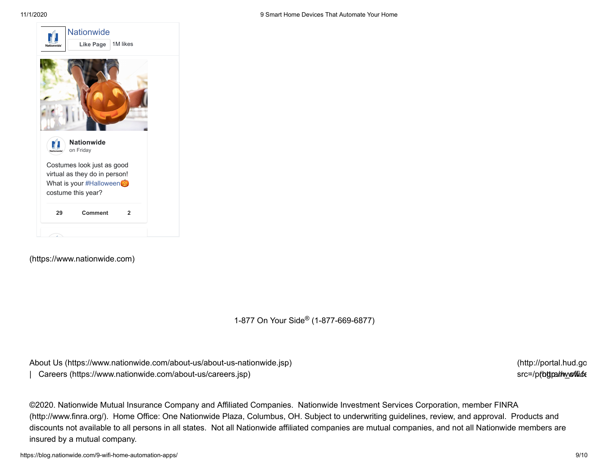| Nationwide <sup>*</sup>                                                                                      | <b>Nationwide</b><br>Like Page | 1M likes       |
|--------------------------------------------------------------------------------------------------------------|--------------------------------|----------------|
|                                                                                                              |                                |                |
| <b>Nationwide</b><br>on Friday                                                                               |                                |                |
| Costumes look just as good<br>virtual as they do in person!<br>What is your #Halloween<br>costume this year? |                                |                |
| 29                                                                                                           | Comment                        | $\overline{2}$ |
|                                                                                                              |                                |                |

#### [\(https://www.nationwide.com\)](https://www.nationwide.com/)

1-877 On Your Side<sup>®</sup> (1-877-669-6877)

[About Us \(https://www.nationwide.com/about-us/about-us-nationwide.jsp\)](https://www.nationwide.com/about-us/about-us-nationwide.jsp)

| [Careers \(https://www.nationwide.com/about-us/careers.jsp\)](https://www.nationwide.com/about-us/careers.jsp)

[\(http://portal.hud.go](http://portal.hud.gov/hudportal/HUD?src=/program_offices/fair_housing_equal_opp) src=/p(bttpa//wwwffi.de

[©2020. Nationwide Mutual Insurance Company and Affiliated Companies. Nationwide Investment Services Corporation, member FINRA](http://www.finra.org/) (http://www.finra.org/). Home Office: One Nationwide Plaza, Columbus, OH. Subject to underwriting guidelines, review, and approval. Products and discounts not available to all persons in all states. Not all Nationwide affiliated companies are mutual companies, and not all Nationwide members are insured by a mutual company.